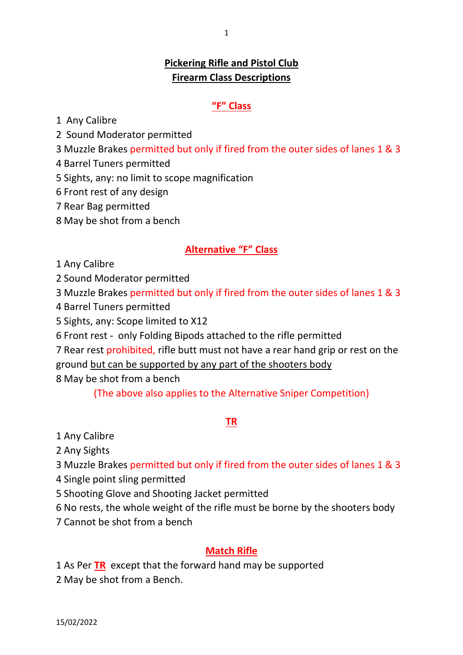## **Pickering Rifle and Pistol Club Firearm Class Descriptions**

#### **"F" Class**

1 Any Calibre

2 Sound Moderator permitted

- 3 Muzzle Brakes permitted but only if fired from the outer sides of lanes 1 & 3
- 4 Barrel Tuners permitted
- 5 Sights, any: no limit to scope magnification
- 6 Front rest of any design
- 7 Rear Bag permitted
- 8 May be shot from a bench

## **Alternative "F" Class**

1 Any Calibre

2 Sound Moderator permitted

3 Muzzle Brakes permitted but only if fired from the outer sides of lanes 1 & 3

- 4 Barrel Tuners permitted
- 5 Sights, any: Scope limited to X12
- 6 Front rest only Folding Bipods attached to the rifle permitted

7 Rear rest prohibited, rifle butt must not have a rear hand grip or rest on the

ground but can be supported by any part of the shooters body

8 May be shot from a bench

(The above also applies to the Alternative Sniper Competition)

### **TR**

1 Any Calibre

2 Any Sights

3 Muzzle Brakes permitted but only if fired from the outer sides of lanes 1 & 3

- 4 Single point sling permitted
- 5 Shooting Glove and Shooting Jacket permitted
- 6 No rests, the whole weight of the rifle must be borne by the shooters body
- 7 Cannot be shot from a bench

### **Match Rifle**

- 1 As Per **TR** except that the forward hand may be supported
- 2 May be shot from a Bench.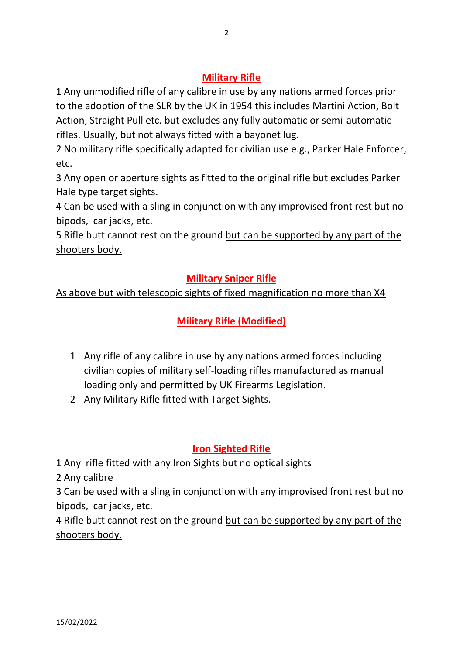1 Any unmodified rifle of any calibre in use by any nations armed forces prior to the adoption of the SLR by the UK in 1954 this includes Martini Action, Bolt Action, Straight Pull etc. but excludes any fully automatic or semi-automatic rifles. Usually, but not always fitted with a bayonet lug.

2 No military rifle specifically adapted for civilian use e.g., Parker Hale Enforcer, etc.

3 Any open or aperture sights as fitted to the original rifle but excludes Parker Hale type target sights.

4 Can be used with a sling in conjunction with any improvised front rest but no bipods, car jacks, etc.

5 Rifle butt cannot rest on the ground but can be supported by any part of the shooters body.

## **Military Sniper Rifle**

## As above but with telescopic sights of fixed magnification no more than X4

# **Military Rifle (Modified)**

- 1 Any rifle of any calibre in use by any nations armed forces including civilian copies of military self-loading rifles manufactured as manual loading only and permitted by UK Firearms Legislation.
- 2 Any Military Rifle fitted with Target Sights.

## **Iron Sighted Rifle**

1 Any rifle fitted with any Iron Sights but no optical sights

2 Any calibre

3 Can be used with a sling in conjunction with any improvised front rest but no bipods, car jacks, etc.

4 Rifle butt cannot rest on the ground but can be supported by any part of the shooters body.